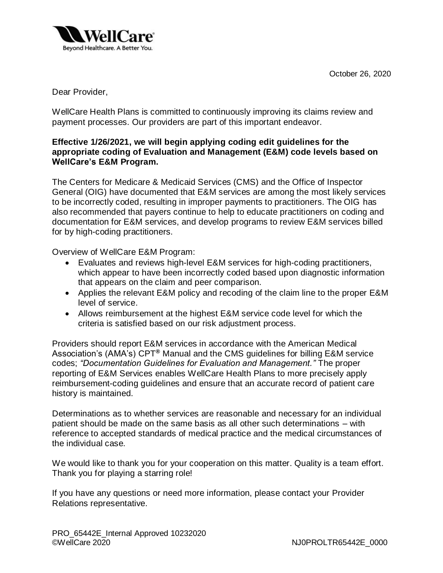October 26, 2020



Dear Provider,

WellCare Health Plans is committed to continuously improving its claims review and payment processes. Our providers are part of this important endeavor.

## **Effective 1/26/2021, we will begin applying coding edit guidelines for the appropriate coding of Evaluation and Management (E&M) code levels based on WellCare's E&M Program.**

The Centers for Medicare & Medicaid Services (CMS) and the Office of Inspector General (OIG) have documented that E&M services are among the most likely services to be incorrectly coded, resulting in improper payments to practitioners. The OIG has also recommended that payers continue to help to educate practitioners on coding and documentation for E&M services, and develop programs to review E&M services billed for by high-coding practitioners.

Overview of WellCare E&M Program:

- Evaluates and reviews high-level E&M services for high-coding practitioners, which appear to have been incorrectly coded based upon diagnostic information that appears on the claim and peer comparison.
- Applies the relevant E&M policy and recoding of the claim line to the proper E&M level of service.
- Allows reimbursement at the highest E&M service code level for which the criteria is satisfied based on our risk adjustment process.

Providers should report E&M services in accordance with the American Medical Association's (AMA's) CPT**®** Manual and the CMS guidelines for billing E&M service codes; *"Documentation Guidelines for Evaluation and Management."* The proper reporting of E&M Services enables WellCare Health Plans to more precisely apply reimbursement-coding guidelines and ensure that an accurate record of patient care history is maintained.

Determinations as to whether services are reasonable and necessary for an individual patient should be made on the same basis as all other such determinations – with reference to accepted standards of medical practice and the medical circumstances of the individual case.

We would like to thank you for your cooperation on this matter. Quality is a team effort. Thank you for playing a starring role!

If you have any questions or need more information, please contact your Provider Relations representative.